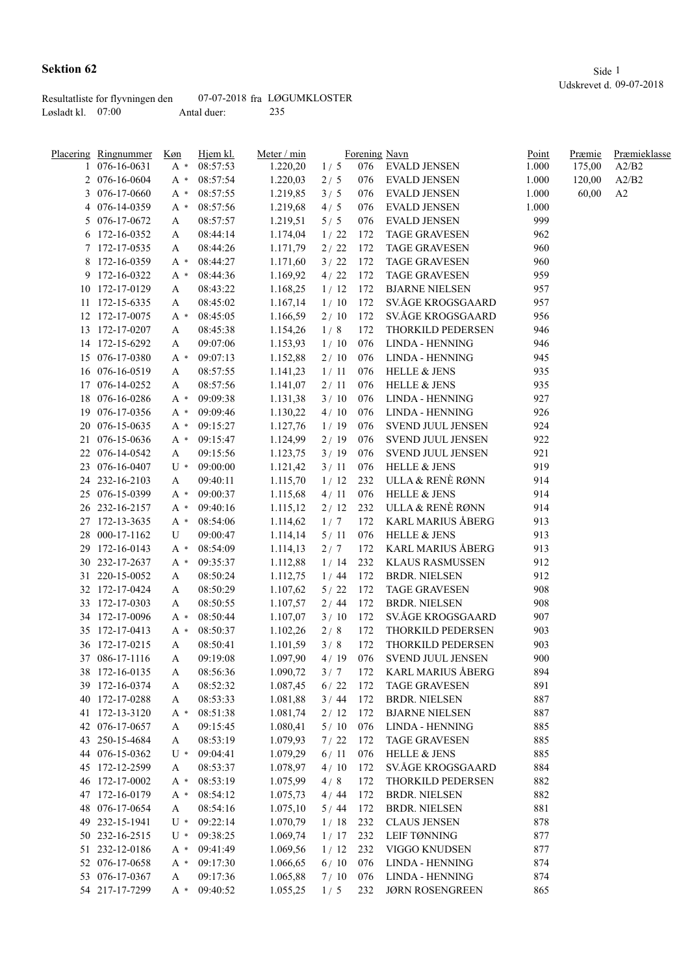|                     | Resultatliste for flyvningen den |             | 07-07-2018 fra LØGUMKLOSTER |
|---------------------|----------------------------------|-------------|-----------------------------|
| Løsladt kl. $07:00$ |                                  | Antal duer: | 235                         |

|    | Placering Ringnummer | Hjem kl.<br>Køn |          | Meter / min |        |     | Forening Navn            | <u>Point</u> | Præmie | Præmieklasse |
|----|----------------------|-----------------|----------|-------------|--------|-----|--------------------------|--------------|--------|--------------|
|    | 1 076-16-0631        | $A^*$           | 08:57:53 | 1.220,20    | 1/5    | 076 | EVALD JENSEN             | 1.000        | 175,00 | A2/B2        |
|    | 2 076-16-0604        | $A^*$           | 08:57:54 | 1.220,03    | 2/5    | 076 | <b>EVALD JENSEN</b>      | 1.000        | 120,00 | A2/B2        |
|    | 3 076-17-0660        | A *             | 08:57:55 | 1.219,85    | 3/5    | 076 | <b>EVALD JENSEN</b>      | 1.000        | 60,00  | A2           |
|    | 4 076-14-0359        | A *             | 08:57:56 | 1.219,68    | 4/5    | 076 | <b>EVALD JENSEN</b>      | 1.000        |        |              |
|    | 5 076-17-0672        | A               | 08:57:57 | 1.219,51    | 5/5    | 076 | <b>EVALD JENSEN</b>      | 999          |        |              |
|    | 6 172-16-0352        | А               | 08:44:14 | 1.174,04    | 1/22   | 172 | <b>TAGE GRAVESEN</b>     | 962          |        |              |
|    | 7 172-17-0535        | A               | 08:44:26 | 1.171,79    | 2/22   | 172 | <b>TAGE GRAVESEN</b>     | 960          |        |              |
|    | 8 172-16-0359        | A *             | 08:44:27 | 1.171,60    | 3/22   | 172 | <b>TAGE GRAVESEN</b>     | 960          |        |              |
|    | 9 172-16-0322        | A *             | 08:44:36 | 1.169,92    | 4/22   | 172 | <b>TAGE GRAVESEN</b>     | 959          |        |              |
|    | 10 172-17-0129       | A               | 08:43:22 | 1.168,25    | 1/12   | 172 | <b>BJARNE NIELSEN</b>    | 957          |        |              |
|    | 11 172-15-6335       | A               | 08:45:02 | 1.167,14    | 1/10   | 172 | SV.ÅGE KROGSGAARD        | 957          |        |              |
|    | 12 172-17-0075       | $A^*$           | 08:45:05 | 1.166,59    | 2/10   | 172 | SV.ÅGE KROGSGAARD        | 956          |        |              |
|    | 13 172-17-0207       | A               | 08:45:38 | 1.154,26    | 1/8    | 172 | THORKILD PEDERSEN        | 946          |        |              |
|    | 14 172-15-6292       | A               | 09:07:06 | 1.153,93    | 1/10   | 076 | LINDA - HENNING          | 946          |        |              |
|    | 15 076-17-0380       | $A^*$           | 09:07:13 | 1.152,88    | 2/10   | 076 | LINDA - HENNING          | 945          |        |              |
|    | 16 076-16-0519       | A               | 08:57:55 | 1.141,23    | 1/11   | 076 | <b>HELLE &amp; JENS</b>  | 935          |        |              |
|    | 17 076-14-0252       | A               | 08:57:56 | 1.141,07    | 2/11   | 076 | <b>HELLE &amp; JENS</b>  | 935          |        |              |
| 18 | 076-16-0286          | $A^*$           | 09:09:38 | 1.131,38    | 3/10   | 076 | <b>LINDA - HENNING</b>   | 927          |        |              |
| 19 | 076-17-0356          | $A^*$           | 09:09:46 | 1.130,22    | 4/10   | 076 | LINDA - HENNING          | 926          |        |              |
|    | 20 076-15-0635       | $A^*$           | 09:15:27 | 1.127,76    | 1/19   | 076 | SVEND JUUL JENSEN        | 924          |        |              |
|    | 21 076-15-0636       | $A^*$           | 09:15:47 | 1.124,99    | 2/19   | 076 | SVEND JUUL JENSEN        | 922          |        |              |
|    | 22 076-14-0542       | A               | 09:15:56 | 1.123,75    | 3/19   | 076 | SVEND JUUL JENSEN        | 921          |        |              |
|    | 23 076-16-0407       | $U^*$           | 09:00:00 | 1.121,42    | 3/11   | 076 | <b>HELLE &amp; JENS</b>  | 919          |        |              |
|    | 24 232-16-2103       | A               | 09:40:11 | 1.115,70    | 1/12   | 232 | ULLA & RENÈ RØNN         | 914          |        |              |
|    | 25 076-15-0399       | $A^*$           | 09:00:37 | 1.115,68    | 4/11   | 076 | <b>HELLE &amp; JENS</b>  | 914          |        |              |
|    | 26 232-16-2157       | A *             | 09:40:16 | 1.115,12    | 2/12   | 232 | ULLA & RENÈ RØNN         | 914          |        |              |
|    | 27 172-13-3635       | $A^*$           | 08:54:06 | 1.114,62    | 1/7    | 172 | KARL MARIUS ÅBERG        | 913          |        |              |
|    | 28 000-17-1162       | U               | 09:00:47 | 1.114,14    | $5/11$ | 076 | <b>HELLE &amp; JENS</b>  | 913          |        |              |
|    | 29 172-16-0143       | A *             | 08:54:09 | 1.114,13    | 2/7    | 172 | <b>KARL MARIUS ÅBERG</b> | 913          |        |              |
|    | 30 232-17-2637       | A *             | 09:35:37 | 1.112,88    | 1/14   | 232 | <b>KLAUS RASMUSSEN</b>   | 912          |        |              |
|    | 31 220-15-0052       | A               | 08:50:24 | 1.112,75    | 1/44   | 172 | <b>BRDR. NIELSEN</b>     | 912          |        |              |
|    | 32 172-17-0424       | A               | 08:50:29 | 1.107,62    | 5/22   | 172 | <b>TAGE GRAVESEN</b>     | 908          |        |              |
|    | 33 172-17-0303       | A               | 08:50:55 | 1.107,57    | 2/44   | 172 | <b>BRDR. NIELSEN</b>     | 908          |        |              |
|    | 34 172-17-0096       | A *             | 08:50:44 | 1.107,07    | 3/10   | 172 | SV.ÅGE KROGSGAARD        | 907          |        |              |
|    | 35 172-17-0413       | $A^*$           | 08:50:37 | 1.102,26    | 2/8    | 172 | THORKILD PEDERSEN        | 903          |        |              |
|    | 36 172-17-0215       | A               | 08:50:41 | 1.101,59    | 3/8    | 172 | THORKILD PEDERSEN        | 903          |        |              |
|    | 37 086-17-1116       | A               | 09:19:08 | 1.097,90    | 4/19   | 076 | SVEND JUUL JENSEN        | 900          |        |              |
|    | 38 172-16-0135       | $\mathbf A$     | 08:56:36 | 1.090,72    | 3/7    | 172 | <b>KARL MARIUS ÅBERG</b> | 894          |        |              |
|    | 39 172-16-0374       | A               | 08:52:32 | 1.087,45    | 6/22   | 172 | <b>TAGE GRAVESEN</b>     | 891          |        |              |
|    | 40 172-17-0288       | A               | 08:53:33 | 1.081,88    | 3/44   | 172 | <b>BRDR. NIELSEN</b>     | 887          |        |              |
|    | 41 172-13-3120       | A *             | 08:51:38 | 1.081,74    | 2/12   | 172 | <b>BJARNE NIELSEN</b>    | 887          |        |              |
|    | 42 076-17-0657       | A               | 09:15:45 | 1.080,41    | 5/10   | 076 | LINDA - HENNING          | 885          |        |              |
|    | 43 250-15-4684       | A               | 08:53:19 | 1.079,93    | 7/22   | 172 | <b>TAGE GRAVESEN</b>     | 885          |        |              |
|    | 44 076-15-0362       | $U^*$           | 09:04:41 | 1.079,29    | 6/11   | 076 | <b>HELLE &amp; JENS</b>  | 885          |        |              |
|    | 45 172-12-2599       | A               | 08:53:37 | 1.078,97    | 4/10   | 172 | SV.ÅGE KROGSGAARD        | 884          |        |              |
|    | 46 172-17-0002       | $A^*$           | 08:53:19 | 1.075,99    | 4/8    | 172 | THORKILD PEDERSEN        | 882          |        |              |
|    | 47 172-16-0179       | $A^*$           | 08:54:12 | 1.075,73    | 4/44   | 172 | <b>BRDR. NIELSEN</b>     | 882          |        |              |
|    | 48 076-17-0654       | A               | 08:54:16 | 1.075,10    | 5/44   | 172 | <b>BRDR. NIELSEN</b>     | 881          |        |              |
|    | 49 232-15-1941       | $U^*$           | 09:22:14 | 1.070,79    | 1/18   | 232 | <b>CLAUS JENSEN</b>      | 878          |        |              |
|    | 50 232-16-2515       | $U^*$           | 09:38:25 | 1.069,74    | 1/17   | 232 | LEIF TØNNING             | 877          |        |              |
|    | 51 232-12-0186       | A *             | 09:41:49 | 1.069,56    | 1/12   | 232 | VIGGO KNUDSEN            | 877          |        |              |
|    | 52 076-17-0658       | $A^*$           | 09:17:30 | 1.066,65    | 6/10   | 076 | LINDA - HENNING          | 874          |        |              |
|    | 53 076-17-0367       | A               | 09:17:36 | 1.065,88    | 7/10   | 076 | LINDA - HENNING          | 874          |        |              |
|    | 54 217-17-7299       | $A^*$           | 09:40:52 | 1.055,25    | 1/5    | 232 | <b>JØRN ROSENGREEN</b>   | 865          |        |              |
|    |                      |                 |          |             |        |     |                          |              |        |              |